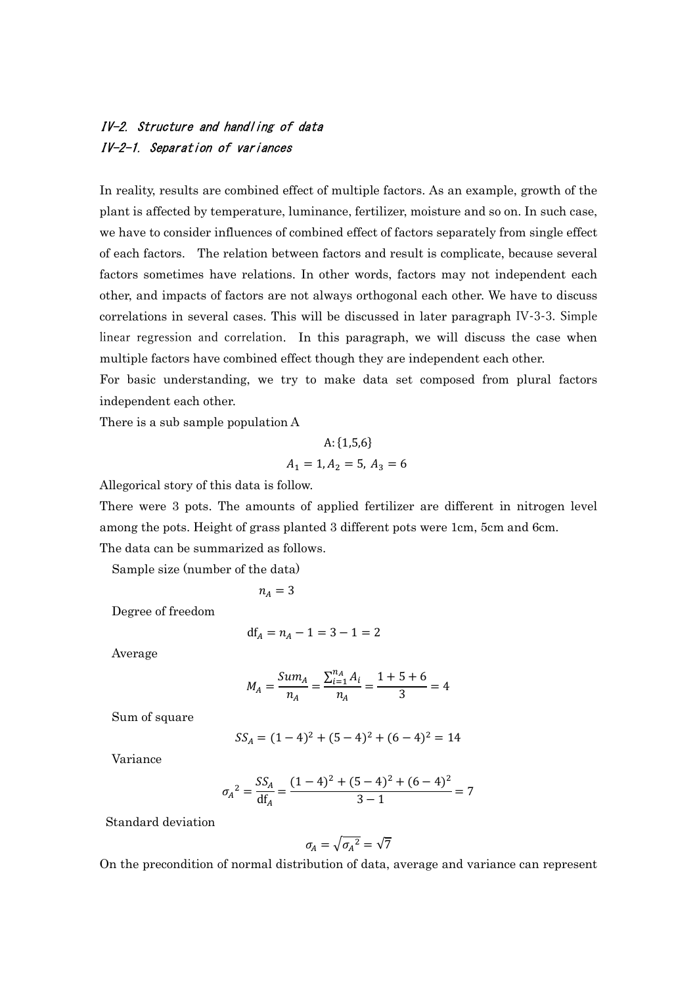## IV-2. Structure and handling of data IV-2-1. Separation of variances

In reality, results are combined effect of multiple factors. As an example, growth of the plant is affected by temperature, luminance, fertilizer, moisture and so on. In such case, we have to consider influences of combined effect of factors separately from single effect of each factors. The relation between factors and result is complicate, because several factors sometimes have relations. In other words, factors may not independent each other, and impacts of factors are not always orthogonal each other. We have to discuss correlations in several cases. This will be discussed in later paragraph IV-3-3. Simple linear regression and correlation. In this paragraph, we will discuss the case when multiple factors have combined effect though they are independent each other.

For basic understanding, we try to make data set composed from plural factors independent each other.

There is a sub sample population A

$$
A: \{1,5,6\}
$$

$$
A_1 = 1, A_2 = 5, A_3 = 6
$$

Allegorical story of this data is follow.

There were 3 pots. The amounts of applied fertilizer are different in nitrogen level among the pots. Height of grass planted 3 different pots were 1cm, 5cm and 6cm. The data can be summarized as follows.

Sample size (number of the data)

 $n_A = 3$ 

Degree of freedom

$$
df_A = n_A - 1 = 3 - 1 = 2
$$

Average

$$
M_A = \frac{Sum_A}{n_A} = \frac{\sum_{i=1}^{n_A} A_i}{n_A} = \frac{1+5+6}{3} = 4
$$

Sum of square

$$
SS_A = (1-4)^2 + (5-4)^2 + (6-4)^2 = 14
$$

Variance

$$
\sigma_A^2 = \frac{SS_A}{df_A} = \frac{(1-4)^2 + (5-4)^2 + (6-4)^2}{3-1} = 7
$$

Standard deviation

$$
\sigma_A = \sqrt{{\sigma_A}^2} = \sqrt{7}
$$

On the precondition of normal distribution of data, average and variance can represent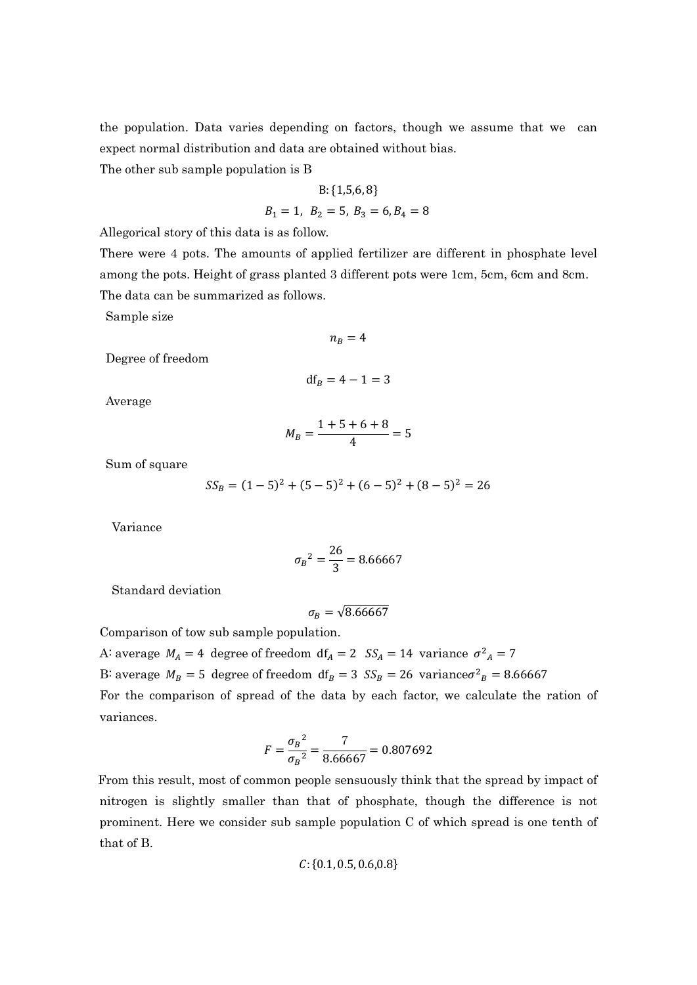the population. Data varies depending on factors, though we assume that we can expect normal distribution and data are obtained without bias.

The other sub sample population is B

B:{1,5,6, 8} <sup>ଵ</sup> = 1, <sup>ଶ</sup> = 5, <sup>ଷ</sup> = 6, <sup>ସ</sup> = 8

Allegorical story of this data is as follow.

There were 4 pots. The amounts of applied fertilizer are different in phosphate level among the pots. Height of grass planted 3 different pots were 1cm, 5cm, 6cm and 8cm. The data can be summarized as follows.

Sample size

 $n_R = 4$ 

Degree of freedom

$$
\mathrm{df}_B=4-1=3
$$

Average

$$
M_B = \frac{1+5+6+8}{4} = 5
$$

Sum of square

$$
SS_B = (1-5)^2 + (5-5)^2 + (6-5)^2 + (8-5)^2 = 26
$$

Variance

$$
\sigma_B{}^2 = \frac{26}{3} = 8.66667
$$

Standard deviation

$$
\sigma_B = \sqrt{8.66667}
$$

Comparison of tow sub sample population.

A average  $M_A = 4$  degree of freedom  $df_A = 2$   $SS_A = 14$  variance  $\sigma^2{}_A = 7$ B: average  $M_B = 5$  degree of freedom  $df_B = 3$   $SS_B = 26$  variance $\sigma^2 = 8.66667$ For the comparison of spread of the data by each factor, we calculate the ration of variances.

$$
F = \frac{{\sigma_B}^2}{{\sigma_B}^2} = \frac{7}{8.66667} = 0.807692
$$

From this result, most of common people sensuously think that the spread by impact of nitrogen is slightly smaller than that of phosphate, though the difference is not prominent. Here we consider sub sample population C of which spread is one tenth of that of B.

$$
\mathcal{C}{:}\{0.1,0.5,0.6,0.8\}
$$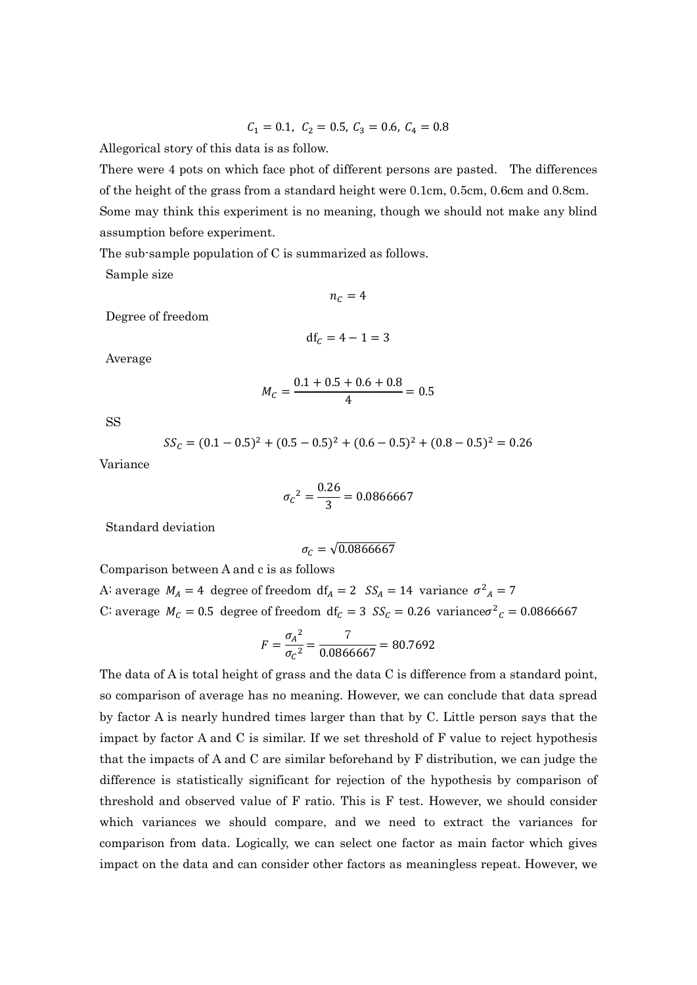$$
\mathcal{C}_1=0.1, \ \mathcal{C}_2=0.5, \ \mathcal{C}_3=0.6, \ \mathcal{C}_4=0.8
$$

Allegorical story of this data is as follow.

There were 4 pots on which face phot of different persons are pasted. The differences of the height of the grass from a standard height were 0.1cm, 0.5cm, 0.6cm and 0.8cm. Some may think this experiment is no meaning, though we should not make any blind assumption before experiment.

The sub-sample population of C is summarized as follows.

Sample size

 $n_c = 4$ 

Degree of freedom

$$
\mathrm{df}_c=4-1=3
$$

Average

$$
M_C = \frac{0.1 + 0.5 + 0.6 + 0.8}{4} = 0.5
$$

SS

$$
SS_C = (0.1 - 0.5)^2 + (0.5 - 0.5)^2 + (0.6 - 0.5)^2 + (0.8 - 0.5)^2 = 0.26
$$

Variance

$$
\sigma_C^2 = \frac{0.26}{3} = 0.0866667
$$

Standard deviation

$$
\sigma_C = \sqrt{0.0866667}
$$

Comparison between A and c is as follows

A average  $M_A = 4$  degree of freedom  $df_A = 2$   $SS_A = 14$  variance  $\sigma^2{}_A = 7$ C: average  $M_c = 0.5$  degree of freedom  $df_c = 3$   $SS_c = 0.26$  variance $\sigma^2_c = 0.0866667$ 

$$
F = \frac{{\sigma_A}^2}{\sigma_C^2} = \frac{7}{0.0866667} = 80.7692
$$

The data of A is total height of grass and the data C is difference from a standard point, so comparison of average has no meaning. However, we can conclude that data spread by factor A is nearly hundred times larger than that by C. Little person says that the impact by factor A and C is similar. If we set threshold of F value to reject hypothesis that the impacts of A and C are similar beforehand by F distribution, we can judge the difference is statistically significant for rejection of the hypothesis by comparison of threshold and observed value of F ratio. This is F test. However, we should consider which variances we should compare, and we need to extract the variances for comparison from data. Logically, we can select one factor as main factor which gives impact on the data and can consider other factors as meaningless repeat. However, we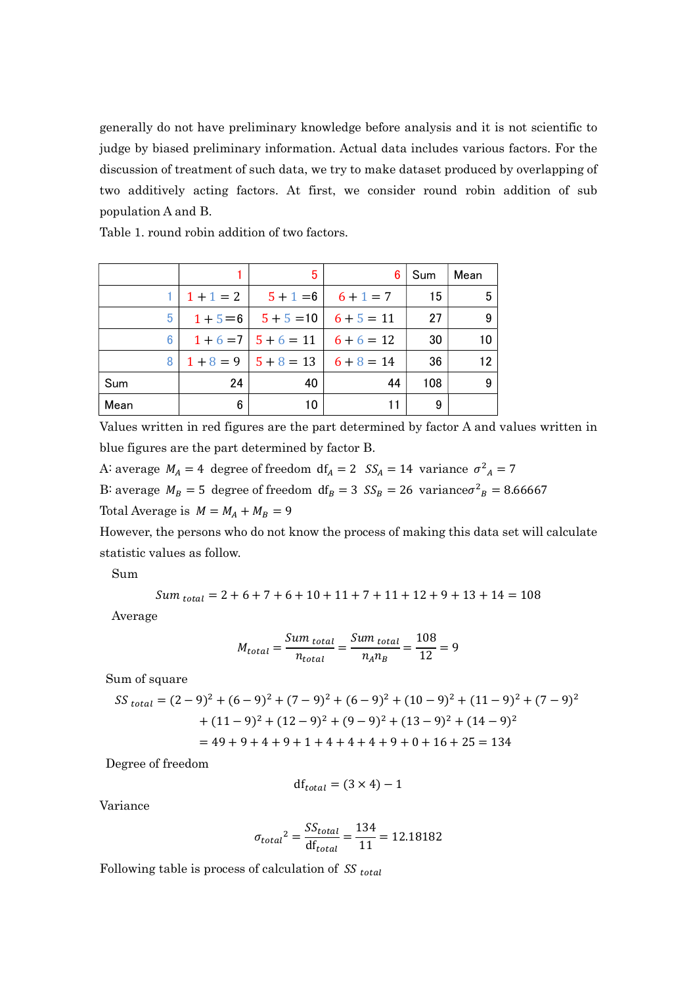generally do not have preliminary knowledge before analysis and it is not scientific to judge by biased preliminary information. Actual data includes various factors. For the discussion of treatment of such data, we try to make dataset produced by overlapping of two additively acting factors. At first, we consider round robin addition of sub population A and B.

Table 1. round robin addition of two factors.

|      |             | 5                  | 6            | Sum | Mean |
|------|-------------|--------------------|--------------|-----|------|
|      | $1 + 1 = 2$ | $5 + 1 = 6$        | $6 + 1 = 7$  | 15  | 5    |
| 5.   | $1+5=6$     | $5 + 5 = 10$       | $6 + 5 = 11$ | 27  | 9    |
| 6    |             | $1+6=7$   $5+6=11$ | $6+6=12$     | 30  | 10   |
| 8    |             | $1+8=9$   $5+8=13$ | $6+8=14$     | 36  | 12   |
| Sum  | 24          | 40                 | 44           | 108 | 9    |
| Mean | 6           | 10                 |              | 9   |      |

Values written in red figures are the part determined by factor A and values written in blue figures are the part determined by factor B.

A: average  $M_A = 4$  degree of freedom  $df_A = 2$   $SS_A = 14$  variance  $\sigma^2{}_A = 7$ B: average  $M_B = 5$  degree of freedom  $df_B = 3$   $SS_B = 26$  variance $\sigma^2{}_B = 8.66667$ Total Average is  $M = M_A + M_B = 9$ 

However, the persons who do not know the process of making this data set will calculate statistic values as follow.

Sum

$$
Sum_{total} = 2 + 6 + 7 + 6 + 10 + 11 + 7 + 11 + 12 + 9 + 13 + 14 = 108
$$

Average

$$
M_{total} = \frac{Sum_{total}}{n_{total}} = \frac{Sum_{total}}{n_A n_B} = \frac{108}{12} = 9
$$

Sum of square

$$
SS_{\text{total}} = (2-9)^2 + (6-9)^2 + (7-9)^2 + (6-9)^2 + (10-9)^2 + (11-9)^2 + (7-9)^2
$$

$$
+ (11-9)^2 + (12-9)^2 + (9-9)^2 + (13-9)^2 + (14-9)^2
$$

$$
= 49 + 9 + 4 + 9 + 1 + 4 + 4 + 4 + 9 + 0 + 16 + 25 = 134
$$

Degree of freedom

$$
\mathrm{df}_{total} = (3 \times 4) - 1
$$

Variance

$$
\sigma_{total}^2 = \frac{SS_{total}}{df_{total}} = \frac{134}{11} = 12.18182
$$

Following table is process of calculation of  $SS_{total}$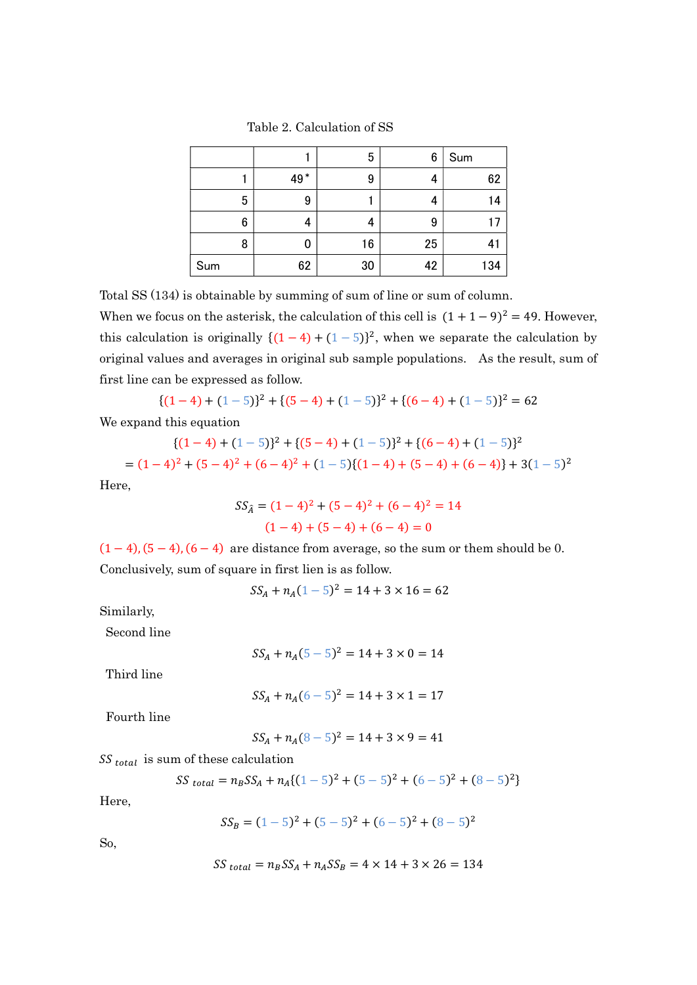|     |     | 5  | 6  | Sum            |
|-----|-----|----|----|----------------|
|     | 49* | 9  | 4  | 62             |
| 5   | 9   |    | 4  | 14             |
| 6   | 4   | 4  | 9  |                |
| 8   | 0   | 16 | 25 | 4 <sub>1</sub> |
| Sum | 62  | 30 | 42 | 134            |

Table 2. Calculation of SS

Total SS (134) is obtainable by summing of sum of line or sum of column.

When we focus on the asterisk, the calculation of this cell is  $(1 + 1 - 9)^2 = 49$ . However, this calculation is originally  $\{(1-4)+(1-5)\}^2$ , when we separate the calculation by original values and averages in original sub sample populations. As the result, sum of first line can be expressed as follow.

$$
{(1-4)+(1-5)}^2 + {(5-4)+(1-5)}^2 + {(6-4)+(1-5)}^2 = 62
$$

We expand this equation

$$
{(1-4)+(1-5)}^2+{(5-4)+(1-5)}^2+{((6-4)+(1-5)}^2
$$
  
=  $(1-4)^2 + (5-4)^2 + (6-4)^2 + (1-5){(1-4)+(5-4)+(6-4)}+3(1-5)^2$ 

Here,

$$
SS_{\hat{A}} = (1 - 4)^2 + (5 - 4)^2 + (6 - 4)^2 = 14
$$

$$
(1 - 4) + (5 - 4) + (6 - 4) = 0
$$

 $(1-4)$ ,  $(5-4)$ ,  $(6-4)$  are distance from average, so the sum or them should be 0. Conclusively, sum of square in first lien is as follow.

 $SS_A + n_A(1-5)^2 = 14 + 3 \times 16 = 62$ 

Similarly,

Second line

$$
SS_A + n_A(5-5)^2 = 14 + 3 \times 0 = 14
$$

Third line

$$
SS_A + n_A(6-5)^2 = 14 + 3 \times 1 = 17
$$

Fourth line

$$
SS_A + n_A(8-5)^2 = 14 + 3 \times 9 = 41
$$

 $SS_{total}$  is sum of these calculation

$$
SS_{total} = n_B SS_A + n_A \{(1-5)^2 + (5-5)^2 + (6-5)^2 + (8-5)^2\}
$$

Here,

$$
SS_B = (1-5)^2 + (5-5)^2 + (6-5)^2 + (8-5)^2
$$

So,

$$
SS_{total} = n_B SS_A + n_A SS_B = 4 \times 14 + 3 \times 26 = 134
$$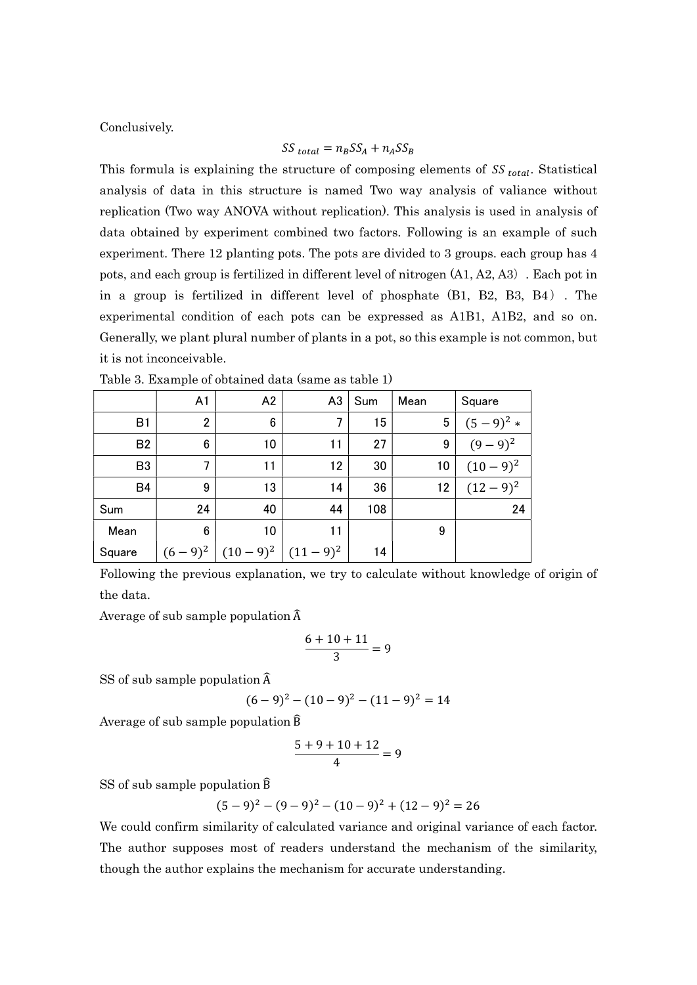Conclusively.

$$
SS_{total} = n_B SS_A + n_A SS_B
$$

This formula is explaining the structure of composing elements of  $SS_{total}$ . Statistical analysis of data in this structure is named Two way analysis of valiance without replication (Two way ANOVA without replication). This analysis is used in analysis of data obtained by experiment combined two factors. Following is an example of such experiment. There 12 planting pots. The pots are divided to 3 groups. each group has 4 pots, and each group is fertilized in different level of nitrogen (A1, A2, A3). Each pot in in a group is fertilized in different level of phosphate (B1, B2, B3, B4). The experimental condition of each pots can be expressed as A1B1, A1B2, and so on. Generally, we plant plural number of plants in a pot, so this example is not common, but it is not inconceivable.

|                | A <sub>1</sub> | A2              | A <sub>3</sub> | Sum | Mean | Square      |
|----------------|----------------|-----------------|----------------|-----|------|-------------|
| B1             | $\overline{2}$ | $6\phantom{1}6$ | 7              | 15  | 5    | $(5-9)^2 *$ |
| <b>B2</b>      | 6              | 10              | 11             | 27  | 9    | $(9-9)^2$   |
| B <sub>3</sub> | 7              | 11              | 12             | 30  | 10   | $(10-9)^2$  |
| <b>B4</b>      | 9              | 13              | 14             | 36  | 12   | $(12-9)^2$  |
| Sum            | 24             | 40              | 44             | 108 |      | 24          |
| Mean           | 6              | 10              | 11             |     | 9    |             |
| Square         | $(6-9)^2$      | $(10-9)^2$      | $(11-9)^2$     | 14  |      |             |

Table 3. Example of obtained data (same as table 1)

Following the previous explanation, we try to calculate without knowledge of origin of the data.

Average of sub sample population  $\widehat{A}$ 

$$
\frac{6+10+11}{3} = 9
$$

SS of sub sample population  $\widehat{A}$ 

$$
(6-9)2 - (10-9)2 - (11-9)2 = 14
$$

Average of sub sample population B

$$
\frac{5+9+10+12}{4} = 9
$$

SS of sub sample population B

$$
(5-9)2 - (9-9)2 - (10-9)2 + (12-9)2 = 26
$$

We could confirm similarity of calculated variance and original variance of each factor. The author supposes most of readers understand the mechanism of the similarity, though the author explains the mechanism for accurate understanding.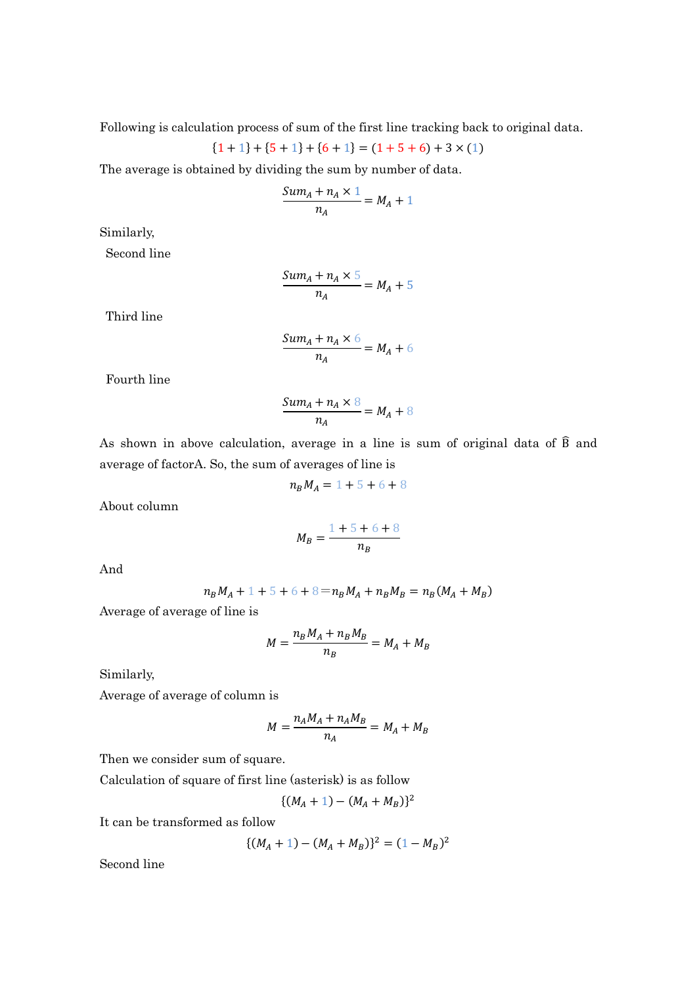Following is calculation process of sum of the first line tracking back to original data.

$$
\{1+1\} + \{5+1\} + \{6+1\} = (1+5+6) + 3 \times (1)
$$

The average is obtained by dividing the sum by number of data.

$$
\frac{Sum_A + n_A \times 1}{n_A} = M_A + 1
$$

Similarly,

Second line

$$
\frac{Sum_A + n_A \times 5}{n_A} = M_A + 5
$$

Third line

$$
\frac{Sum_A + n_A \times 6}{n_A} = M_A + 6
$$

Fourth line

$$
\frac{Sum_A + n_A \times 8}{n_A} = M_A + 8
$$

As shown in above calculation, average in a line is sum of original data of B and average of factorA. So, the sum of averages of line is

$$
n_B M_A = 1 + 5 + 6 + 8
$$

About column

$$
M_B = \frac{1 + 5 + 6 + 8}{n_B}
$$

And

$$
n_B M_A + 1 + 5 + 6 + 8 = n_B M_A + n_B M_B = n_B (M_A + M_B)
$$

Average of average of line is

$$
M = \frac{n_B M_A + n_B M_B}{n_B} = M_A + M_B
$$

Similarly,

Average of average of column is

$$
M = \frac{n_A M_A + n_A M_B}{n_A} = M_A + M_B
$$

Then we consider sum of square.

Calculation of square of first line (asterisk) is as follow

$$
\{(M_A+1)-(M_A+M_B)\}^2
$$

It can be transformed as follow

$$
\{(M_A + 1) - (M_A + M_B)\}^2 = (1 - M_B)^2
$$

Second line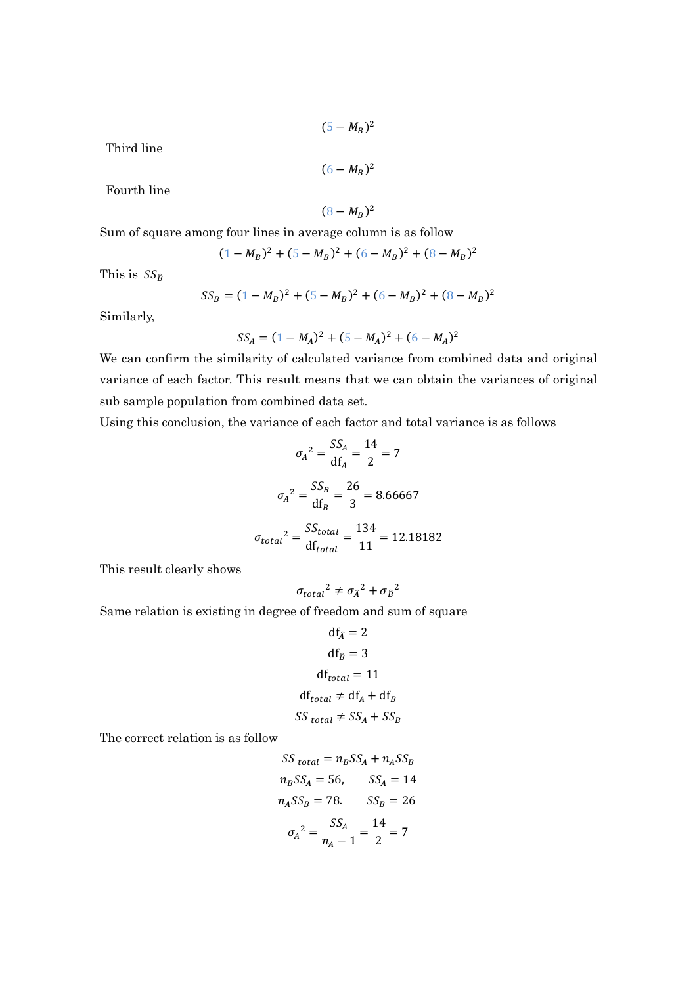$$
(5-M_B)^2
$$

Third line

$$
(6-M_B)^2
$$

Fourth line

 $(8-M_B)^2$ 

Sum of square among four lines in average column is as follow

$$
(1-M_B)^2 + (5-M_B)^2 + (6-M_B)^2 + (8-M_B)^2
$$

This is  $SS_{\hat{B}}$ 

$$
SS_B = (1 - M_B)^2 + (5 - M_B)^2 + (6 - M_B)^2 + (8 - M_B)^2
$$

Similarly,

$$
SS_A = (1 - M_A)^2 + (5 - M_A)^2 + (6 - M_A)^2
$$

We can confirm the similarity of calculated variance from combined data and original variance of each factor. This result means that we can obtain the variances of original sub sample population from combined data set.

Using this conclusion, the variance of each factor and total variance is as follows

$$
\sigma_A^2 = \frac{SS_A}{df_A} = \frac{14}{2} = 7
$$

$$
\sigma_A^2 = \frac{SS_B}{df_B} = \frac{26}{3} = 8.66667
$$

$$
\sigma_{total}^2 = \frac{SS_{total}}{df_{total}} = \frac{134}{11} = 12.18182
$$

This result clearly shows

$$
\sigma_{total}{}^2 \neq \sigma_{\hat{A}}{}^2 + \sigma_{\hat{B}}{}^2
$$

Same relation is existing in degree of freedom and sum of square

$$
df_{\hat{A}} = 2
$$
  
\n
$$
df_{\hat{B}} = 3
$$
  
\n
$$
df_{total} = 11
$$
  
\n
$$
df_{total} \neq df_A + df_B
$$
  
\n
$$
SS_{total} \neq SS_A + SS_B
$$

The correct relation is as follow

$$
SS_{total} = n_B SS_A + n_A SS_B
$$
  
\n
$$
n_B SS_A = 56, \t SS_A = 14
$$
  
\n
$$
n_A SS_B = 78. \t SS_B = 26
$$
  
\n
$$
\sigma_A^2 = \frac{SS_A}{n_A - 1} = \frac{14}{2} = 7
$$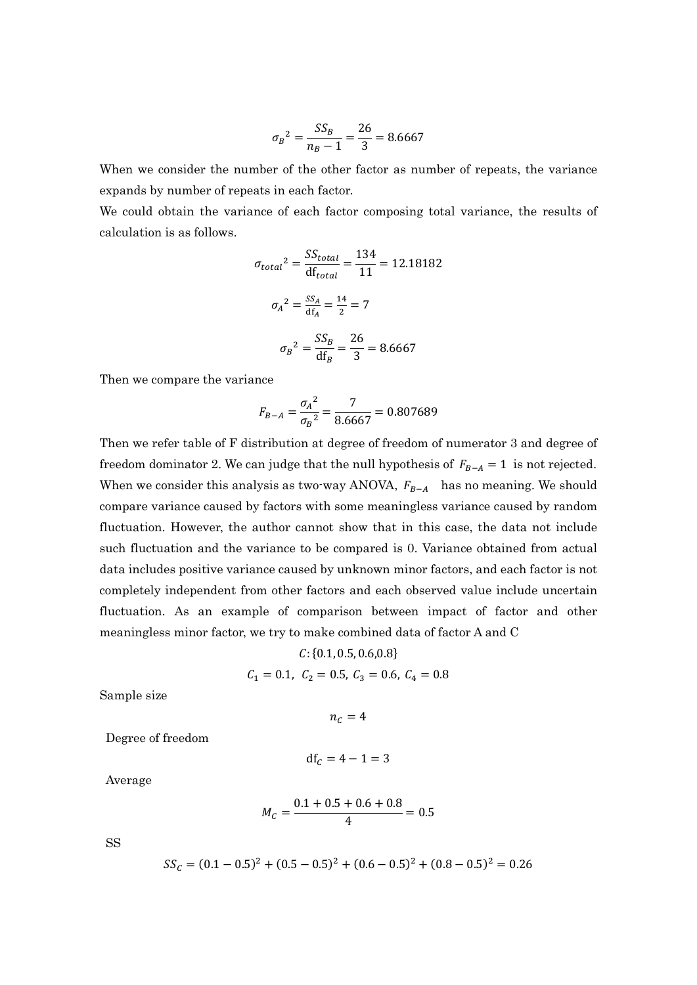$$
\sigma_B^2 = \frac{SS_B}{n_B - 1} = \frac{26}{3} = 8.6667
$$

When we consider the number of the other factor as number of repeats, the variance expands by number of repeats in each factor.

We could obtain the variance of each factor composing total variance, the results of calculation is as follows.

$$
\sigma_{total}^{2} = \frac{SS_{total}}{df_{total}} = \frac{134}{11} = 12.18182
$$

$$
\sigma_{A}^{2} = \frac{SS_{A}}{df_{A}} = \frac{14}{2} = 7
$$

$$
\sigma_{B}^{2} = \frac{SS_{B}}{df_{B}} = \frac{26}{3} = 8.6667
$$

Then we compare the variance

$$
F_{B-A} = \frac{{\sigma_A}^2}{{\sigma_B}^2} = \frac{7}{8.6667} = 0.807689
$$

Then we refer table of F distribution at degree of freedom of numerator 3 and degree of freedom dominator 2. We can judge that the null hypothesis of  $F_{B-A} = 1$  is not rejected. When we consider this analysis as two-way ANOVA,  $F_{B-A}$  has no meaning. We should compare variance caused by factors with some meaningless variance caused by random fluctuation. However, the author cannot show that in this case, the data not include such fluctuation and the variance to be compared is 0. Variance obtained from actual data includes positive variance caused by unknown minor factors, and each factor is not completely independent from other factors and each observed value include uncertain fluctuation. As an example of comparison between impact of factor and other meaningless minor factor, we try to make combined data of factor A and C

$$
C: \{0.1, 0.5, 0.6, 0.8\}
$$

$$
C_1 = 0.1, C_2 = 0.5, C_3 = 0.6, C_4 = 0.8
$$

Sample size

 $n_c = 4$ 

Degree of freedom

$$
\mathrm{df}_C=4-1=3
$$

Average

$$
M_C = \frac{0.1 + 0.5 + 0.6 + 0.8}{4} = 0.5
$$

SS

$$
SS_C = (0.1 - 0.5)^2 + (0.5 - 0.5)^2 + (0.6 - 0.5)^2 + (0.8 - 0.5)^2 = 0.26
$$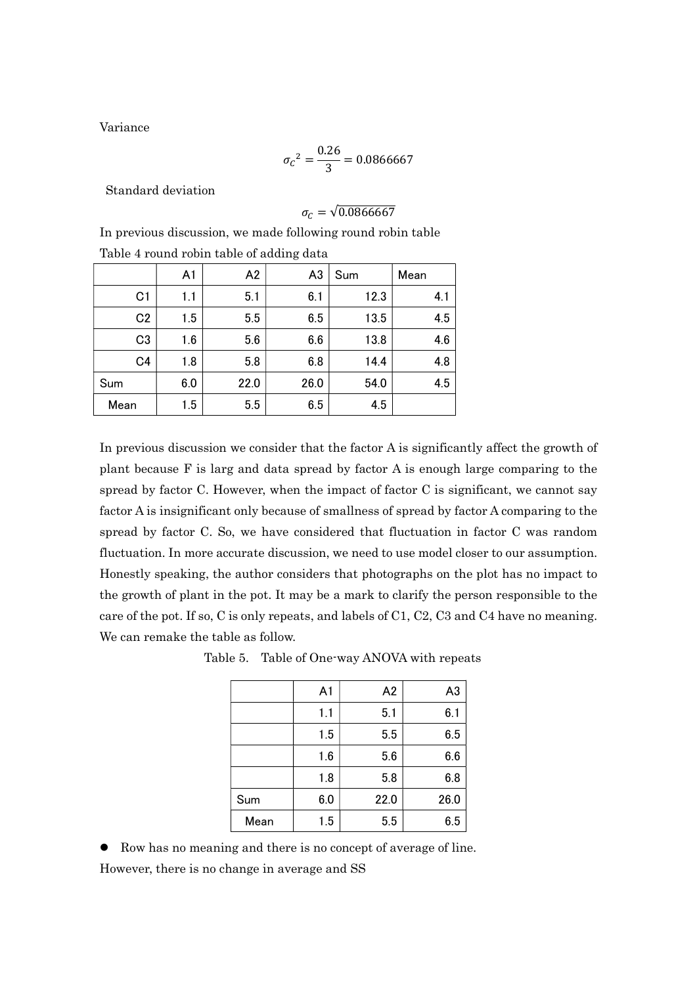Variance

$$
{\sigma_C}^2 = \frac{0.26}{3} = 0.0866667
$$

Standard deviation

$$
\sigma_{C}=\sqrt{0.0866667}
$$

In previous discussion, we made following round robin table Table 4 round robin table of adding data

|                | A1  | A2   | A <sub>3</sub> | Sum  | Mean |
|----------------|-----|------|----------------|------|------|
| C <sub>1</sub> | 1.1 | 5.1  | 6.1            | 12.3 | 4.1  |
| C <sub>2</sub> | 1.5 | 5.5  | 6.5            | 13.5 | 4.5  |
| C <sub>3</sub> | 1.6 | 5.6  | 6.6            | 13.8 | 4.6  |
| C <sub>4</sub> | 1.8 | 5.8  | 6.8            | 14.4 | 4.8  |
| Sum            | 6.0 | 22.0 | 26.0           | 54.0 | 4.5  |
| Mean           | 1.5 | 5.5  | 6.5            | 4.5  |      |

In previous discussion we consider that the factor A is significantly affect the growth of plant because F is larg and data spread by factor A is enough large comparing to the spread by factor C. However, when the impact of factor C is significant, we cannot say factor A is insignificant only because of smallness of spread by factor A comparing to the spread by factor C. So, we have considered that fluctuation in factor C was random fluctuation. In more accurate discussion, we need to use model closer to our assumption. Honestly speaking, the author considers that photographs on the plot has no impact to the growth of plant in the pot. It may be a mark to clarify the person responsible to the care of the pot. If so, C is only repeats, and labels of C1, C2, C3 and C4 have no meaning. We can remake the table as follow.

|      | A <sub>1</sub> | A2   | A <sub>3</sub> |
|------|----------------|------|----------------|
|      | 1.1            | 5.1  | 6.1            |
|      | 1.5            | 5.5  | 6.5            |
|      | 1.6            | 5.6  | 6.6            |
|      | 1.8            | 5.8  | 6.8            |
| Sum  | 6.0            | 22.0 | 26.0           |
| Mean | 1.5            | 5.5  | 6.5            |

Table 5. Table of One-way ANOVA with repeats

 Row has no meaning and there is no concept of average of line. However, there is no change in average and SS